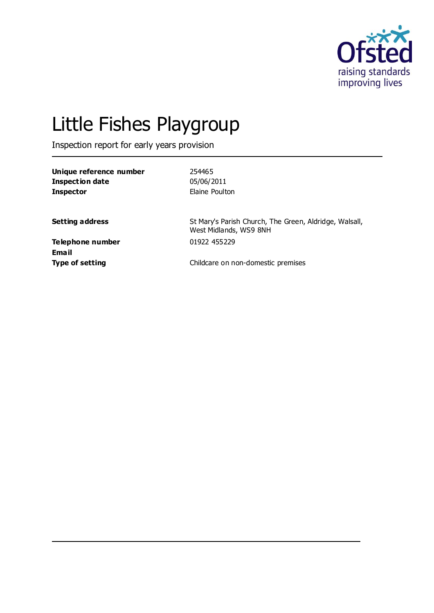

# Little Fishes Playgroup

Inspection report for early years provision

| Unique reference number | 254465         |
|-------------------------|----------------|
| Inspection date         | 05/06/2011     |
| <b>Inspector</b>        | Elaine Poulton |

**Setting address** St Mary's Parish Church, The Green, Aldridge, Walsall, West Midlands, WS9 8NH

**Telephone number** 01922 455229 **Email**

**Type of setting** Type of setting **Childcare on non-domestic premises**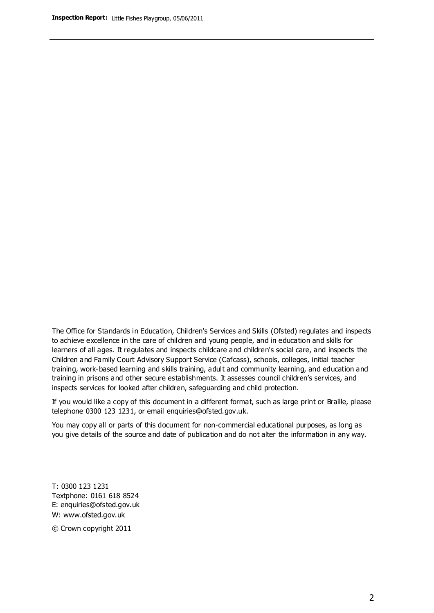The Office for Standards in Education, Children's Services and Skills (Ofsted) regulates and inspects to achieve excellence in the care of children and young people, and in education and skills for learners of all ages. It regulates and inspects childcare and children's social care, and inspects the Children and Family Court Advisory Support Service (Cafcass), schools, colleges, initial teacher training, work-based learning and skills training, adult and community learning, and education and training in prisons and other secure establishments. It assesses council children's services, and inspects services for looked after children, safeguarding and child protection.

If you would like a copy of this document in a different format, such as large print or Braille, please telephone 0300 123 1231, or email enquiries@ofsted.gov.uk.

You may copy all or parts of this document for non-commercial educational purposes, as long as you give details of the source and date of publication and do not alter the information in any way.

T: 0300 123 1231 Textphone: 0161 618 8524 E: enquiries@ofsted.gov.uk W: [www.ofsted.gov.uk](http://www.ofsted.gov.uk/)

© Crown copyright 2011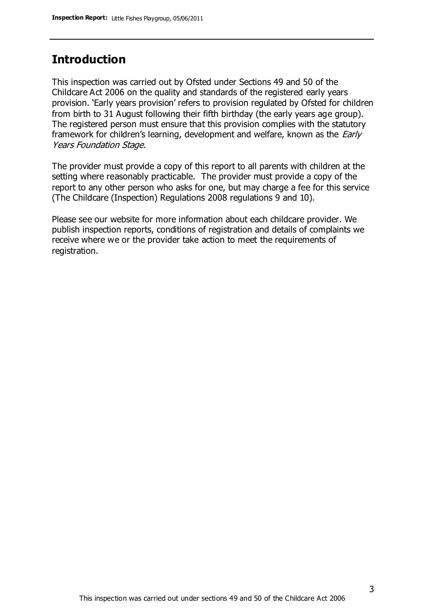## **Introduction**

This inspection was carried out by Ofsted under Sections 49 and 50 of the Childcare Act 2006 on the quality and standards of the registered early years provision. 'Early years provision' refers to provision regulated by Ofsted for children from birth to 31 August following their fifth birthday (the early years age group). The registered person must ensure that this provision complies with the statutory framework for children's learning, development and welfare, known as the *Early* Years Foundation Stage.

The provider must provide a copy of this report to all parents with children at the setting where reasonably practicable. The provider must provide a copy of the report to any other person who asks for one, but may charge a fee for this service (The Childcare (Inspection) Regulations 2008 regulations 9 and 10).

Please see our website for more information about each childcare provider. We publish inspection reports, conditions of registration and details of complaints we receive where we or the provider take action to meet the requirements of registration.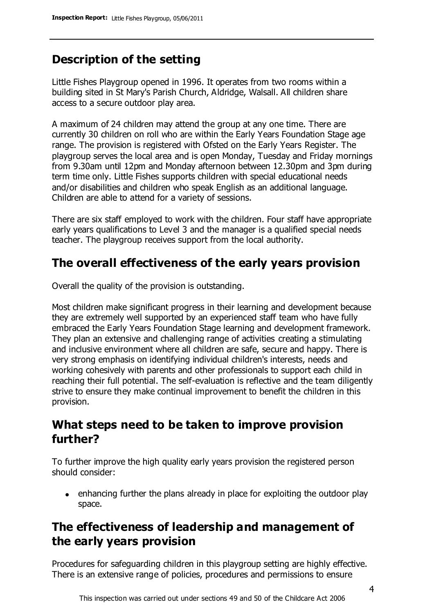# **Description of the setting**

Little Fishes Playgroup opened in 1996. It operates from two rooms within a building sited in St Mary's Parish Church, Aldridge, Walsall. All children share access to a secure outdoor play area.

A maximum of 24 children may attend the group at any one time. There are currently 30 children on roll who are within the Early Years Foundation Stage age range. The provision is registered with Ofsted on the Early Years Register. The playgroup serves the local area and is open Monday, Tuesday and Friday mornings from 9.30am until 12pm and Monday afternoon between 12.30pm and 3pm during term time only. Little Fishes supports children with special educational needs and/or disabilities and children who speak English as an additional language. Children are able to attend for a variety of sessions.

There are six staff employed to work with the children. Four staff have appropriate early years qualifications to Level 3 and the manager is a qualified special needs teacher. The playgroup receives support from the local authority.

# **The overall effectiveness of the early years provision**

Overall the quality of the provision is outstanding.

Most children make significant progress in their learning and development because they are extremely well supported by an experienced staff team who have fully embraced the Early Years Foundation Stage learning and development framework. They plan an extensive and challenging range of activities creating a stimulating and inclusive environment where all children are safe, secure and happy. There is very strong emphasis on identifying individual children's interests, needs and working cohesively with parents and other professionals to support each child in reaching their full potential. The self-evaluation is reflective and the team diligently strive to ensure they make continual improvement to benefit the children in this provision.

## **What steps need to be taken to improve provision further?**

To further improve the high quality early years provision the registered person should consider:

enhancing further the plans already in place for exploiting the outdoor play space.

## **The effectiveness of leadership and management of the early years provision**

Procedures for safeguarding children in this playgroup setting are highly effective. There is an extensive range of policies, procedures and permissions to ensure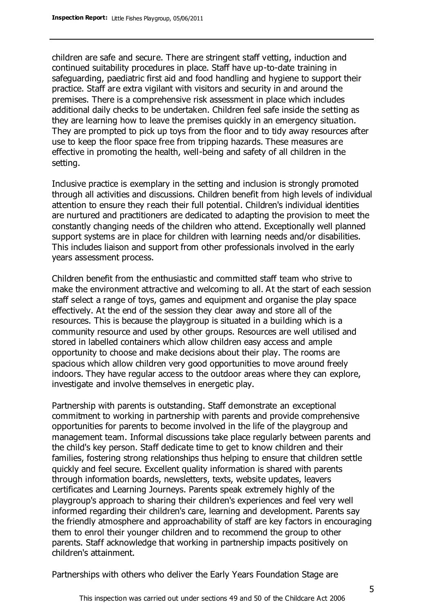children are safe and secure. There are stringent staff vetting, induction and continued suitability procedures in place. Staff have up-to-date training in safeguarding, paediatric first aid and food handling and hygiene to support their practice. Staff are extra vigilant with visitors and security in and around the premises. There is a comprehensive risk assessment in place which includes additional daily checks to be undertaken. Children feel safe inside the setting as they are learning how to leave the premises quickly in an emergency situation. They are prompted to pick up toys from the floor and to tidy away resources after use to keep the floor space free from tripping hazards. These measures are effective in promoting the health, well-being and safety of all children in the setting.

Inclusive practice is exemplary in the setting and inclusion is strongly promoted through all activities and discussions. Children benefit from high levels of individual attention to ensure they reach their full potential. Children's individual identities are nurtured and practitioners are dedicated to adapting the provision to meet the constantly changing needs of the children who attend. Exceptionally well planned support systems are in place for children with learning needs and/or disabilities. This includes liaison and support from other professionals involved in the early years assessment process.

Children benefit from the enthusiastic and committed staff team who strive to make the environment attractive and welcoming to all. At the start of each session staff select a range of toys, games and equipment and organise the play space effectively. At the end of the session they clear away and store all of the resources. This is because the playgroup is situated in a building which is a community resource and used by other groups. Resources are well utilised and stored in labelled containers which allow children easy access and ample opportunity to choose and make decisions about their play. The rooms are spacious which allow children very good opportunities to move around freely indoors. They have regular access to the outdoor areas where they can explore, investigate and involve themselves in energetic play.

Partnership with parents is outstanding. Staff demonstrate an exceptional commitment to working in partnership with parents and provide comprehensive opportunities for parents to become involved in the life of the playgroup and management team. Informal discussions take place regularly between parents and the child's key person. Staff dedicate time to get to know children and their families, fostering strong relationships thus helping to ensure that children settle quickly and feel secure. Excellent quality information is shared with parents through information boards, newsletters, texts, website updates, leavers certificates and Learning Journeys. Parents speak extremely highly of the playgroup's approach to sharing their children's experiences and feel very well informed regarding their children's care, learning and development. Parents say the friendly atmosphere and approachability of staff are key factors in encouraging them to enrol their younger children and to recommend the group to other parents. Staff acknowledge that working in partnership impacts positively on children's attainment.

Partnerships with others who deliver the Early Years Foundation Stage are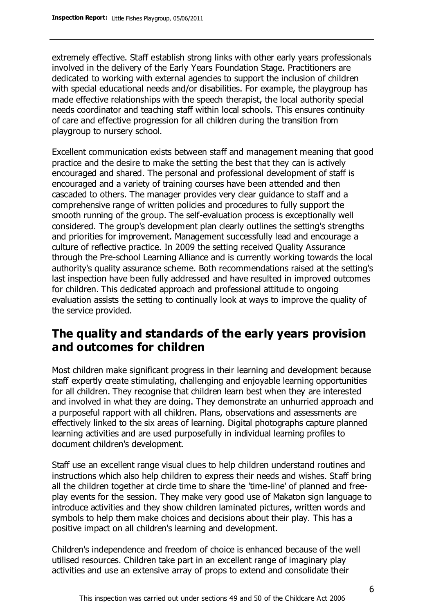extremely effective. Staff establish strong links with other early years professionals involved in the delivery of the Early Years Foundation Stage. Practitioners are dedicated to working with external agencies to support the inclusion of children with special educational needs and/or disabilities. For example, the playgroup has made effective relationships with the speech therapist, the local authority special needs coordinator and teaching staff within local schools. This ensures continuity of care and effective progression for all children during the transition from playgroup to nursery school.

Excellent communication exists between staff and management meaning that good practice and the desire to make the setting the best that they can is actively encouraged and shared. The personal and professional development of staff is encouraged and a variety of training courses have been attended and then cascaded to others. The manager provides very clear guidance to staff and a comprehensive range of written policies and procedures to fully support the smooth running of the group. The self-evaluation process is exceptionally well considered. The group's development plan clearly outlines the setting's strengths and priorities for improvement. Management successfully lead and encourage a culture of reflective practice. In 2009 the setting received Quality Assurance through the Pre-school Learning Alliance and is currently working towards the local authority's quality assurance scheme. Both recommendations raised at the setting's last inspection have been fully addressed and have resulted in improved outcomes for children. This dedicated approach and professional attitude to ongoing evaluation assists the setting to continually look at ways to improve the quality of the service provided.

## **The quality and standards of the early years provision and outcomes for children**

Most children make significant progress in their learning and development because staff expertly create stimulating, challenging and enjoyable learning opportunities for all children. They recognise that children learn best when they are interested and involved in what they are doing. They demonstrate an unhurried approach and a purposeful rapport with all children. Plans, observations and assessments are effectively linked to the six areas of learning. Digital photographs capture planned learning activities and are used purposefully in individual learning profiles to document children's development.

Staff use an excellent range visual clues to help children understand routines and instructions which also help children to express their needs and wishes. Staff bring all the children together at circle time to share the 'time-line' of planned and freeplay events for the session. They make very good use of Makaton sign language to introduce activities and they show children laminated pictures, written words and symbols to help them make choices and decisions about their play. This has a positive impact on all children's learning and development.

Children's independence and freedom of choice is enhanced because of the well utilised resources. Children take part in an excellent range of imaginary play activities and use an extensive array of props to extend and consolidate their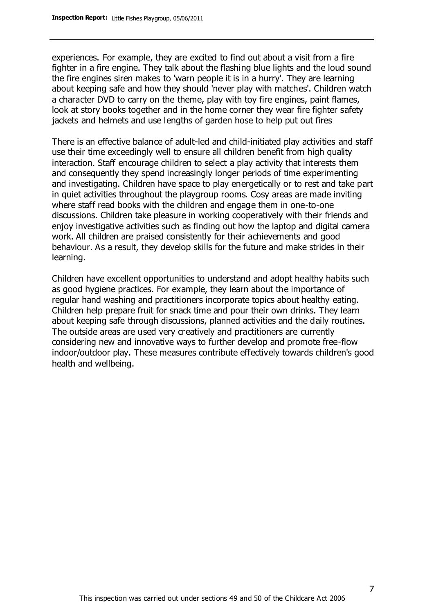experiences. For example, they are excited to find out about a visit from a fire fighter in a fire engine. They talk about the flashing blue lights and the loud sound the fire engines siren makes to 'warn people it is in a hurry'. They are learning about keeping safe and how they should 'never play with matches'. Children watch a character DVD to carry on the theme, play with toy fire engines, paint flames, look at story books together and in the home corner they wear fire fighter safety jackets and helmets and use lengths of garden hose to help put out fires

There is an effective balance of adult-led and child-initiated play activities and staff use their time exceedingly well to ensure all children benefit from high quality interaction. Staff encourage children to select a play activity that interests them and consequently they spend increasingly longer periods of time experimenting and investigating. Children have space to play energetically or to rest and take part in quiet activities throughout the playgroup rooms. Cosy areas are made inviting where staff read books with the children and engage them in one-to-one discussions. Children take pleasure in working cooperatively with their friends and enjoy investigative activities such as finding out how the laptop and digital camera work. All children are praised consistently for their achievements and good behaviour. As a result, they develop skills for the future and make strides in their learning.

Children have excellent opportunities to understand and adopt healthy habits such as good hygiene practices. For example, they learn about the importance of regular hand washing and practitioners incorporate topics about healthy eating. Children help prepare fruit for snack time and pour their own drinks. They learn about keeping safe through discussions, planned activities and the daily routines. The outside areas are used very creatively and practitioners are currently considering new and innovative ways to further develop and promote free-flow indoor/outdoor play. These measures contribute effectively towards children's good health and wellbeing.